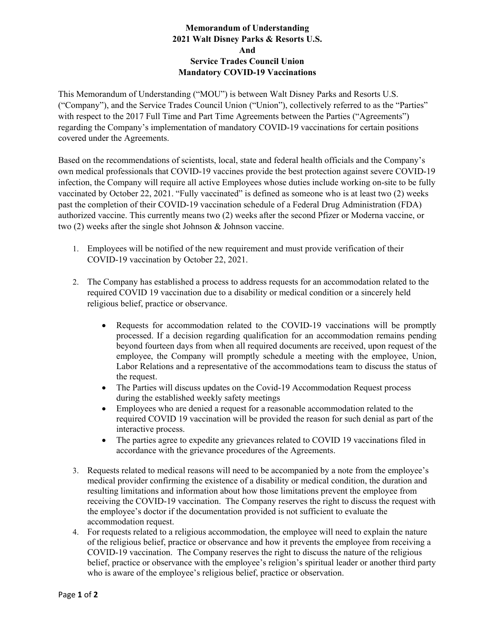## **Memorandum of Understanding 2021 Walt Disney Parks & Resorts U.S. And Service Trades Council Union Mandatory COVID-19 Vaccinations**

This Memorandum of Understanding ("MOU") is between Walt Disney Parks and Resorts U.S. ("Company"), and the Service Trades Council Union ("Union"), collectively referred to as the "Parties" with respect to the 2017 Full Time and Part Time Agreements between the Parties ("Agreements") regarding the Company's implementation of mandatory COVID-19 vaccinations for certain positions covered under the Agreements.

Based on the recommendations of scientists, local, state and federal health officials and the Company's own medical professionals that COVID-19 vaccines provide the best protection against severe COVID-19 infection, the Company will require all active Employees whose duties include working on-site to be fully vaccinated by October 22, 2021. "Fully vaccinated" is defined as someone who is at least two (2) weeks past the completion of their COVID-19 vaccination schedule of a Federal Drug Administration (FDA) authorized vaccine. This currently means two (2) weeks after the second Pfizer or Moderna vaccine, or two (2) weeks after the single shot Johnson & Johnson vaccine.

- 1. Employees will be notified of the new requirement and must provide verification of their COVID-19 vaccination by October 22, 2021.
- 2. The Company has established a process to address requests for an accommodation related to the required COVID 19 vaccination due to a disability or medical condition or a sincerely held religious belief, practice or observance.
	- Requests for accommodation related to the COVID-19 vaccinations will be promptly processed. If a decision regarding qualification for an accommodation remains pending beyond fourteen days from when all required documents are received, upon request of the employee, the Company will promptly schedule a meeting with the employee, Union, Labor Relations and a representative of the accommodations team to discuss the status of the request.
	- The Parties will discuss updates on the Covid-19 Accommodation Request process during the established weekly safety meetings
	- Employees who are denied a request for a reasonable accommodation related to the required COVID 19 vaccination will be provided the reason for such denial as part of the interactive process.
	- The parties agree to expedite any grievances related to COVID 19 vaccinations filed in accordance with the grievance procedures of the Agreements.
- 3. Requests related to medical reasons will need to be accompanied by a note from the employee's medical provider confirming the existence of a disability or medical condition, the duration and resulting limitations and information about how those limitations prevent the employee from receiving the COVID-19 vaccination. The Company reserves the right to discuss the request with the employee's doctor if the documentation provided is not sufficient to evaluate the accommodation request.
- 4. For requests related to a religious accommodation, the employee will need to explain the nature of the religious belief, practice or observance and how it prevents the employee from receiving a COVID-19 vaccination. The Company reserves the right to discuss the nature of the religious belief, practice or observance with the employee's religion's spiritual leader or another third party who is aware of the employee's religious belief, practice or observation.